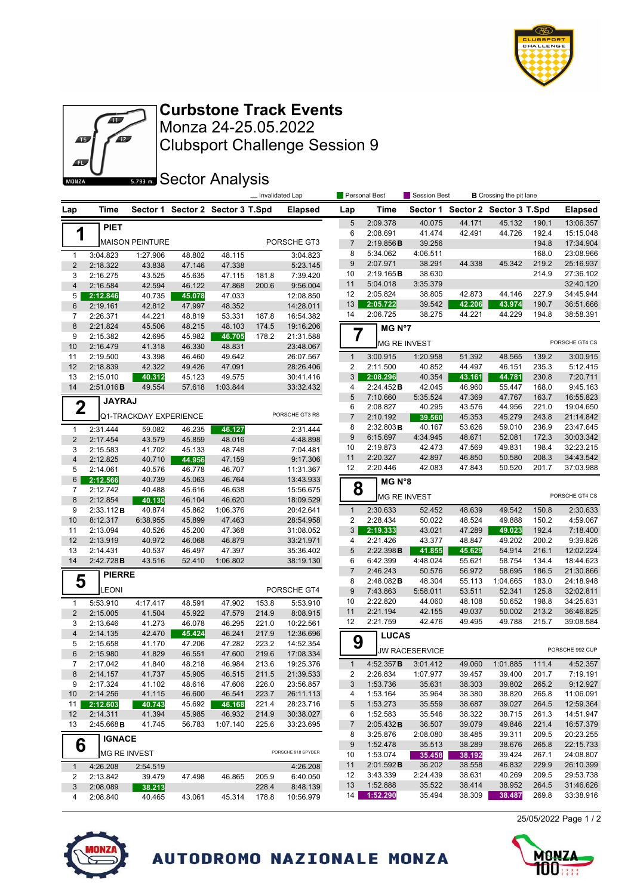



Clubsport Challenge Session 9 Monza 24-25.05.2022 **Curbstone Track Events**

**SECTOR Analysis** 

|                         |                      | Invalidated Lap        |                  |                                  |       |                        | Personal Best       |                      | <b>B</b> Crossing the pit lane<br>Session Best |                  |                         |                |                        |
|-------------------------|----------------------|------------------------|------------------|----------------------------------|-------|------------------------|---------------------|----------------------|------------------------------------------------|------------------|-------------------------|----------------|------------------------|
| Lap                     | Time                 |                        |                  | Sector 1 Sector 2 Sector 3 T.Spd |       | <b>Elapsed</b>         | Lap                 | Time                 | Sector 1                                       |                  | Sector 2 Sector 3 T.Spd |                | <b>Elapsed</b>         |
|                         | <b>PIET</b>          |                        |                  |                                  |       |                        | 5                   | 2:09.378             | 40.075                                         | 44.171           | 45.132                  | 190.1          | 13:06.357              |
| 1                       |                      |                        |                  |                                  |       |                        | 6                   | 2:08.691             | 41.474                                         | 42.491           | 44.726                  | 192.4          | 15:15.048              |
|                         |                      | <b>MAISON PEINTURE</b> |                  |                                  |       | PORSCHE GT3            | $\overline{7}$      | 2:19.856B            | 39.256                                         |                  |                         | 194.8          | 17:34.904              |
| $\mathbf{1}$            | 3:04.823             | 1:27.906               | 48.802           | 48.115                           |       | 3:04.823               | 8                   | 5:34.062             | 4:06.511                                       |                  |                         | 168.0          | 23:08.966              |
| $\sqrt{2}$              | 2:18.322             | 43.838                 | 47.146           | 47.338                           |       | 5:23.145               | 9                   | 2:07.971             | 38.291                                         | 44.338           | 45.342                  | 219.2          | 25:16.937              |
| 3                       | 2:16.275             | 43.525                 | 45.635           | 47.115                           | 181.8 | 7:39.420               | 10                  | 2:19.165B            | 38.630                                         |                  |                         | 214.9          | 27:36.102              |
| $\overline{\mathbf{4}}$ | 2:16.584             | 42.594                 | 46.122           | 47.868                           | 200.6 | 9:56.004               | 11                  | 5:04.018             | 3:35.379                                       |                  |                         |                | 32:40.120              |
| 5                       | 2:12.846             | 40.735                 | 45.078           | 47.033                           |       | 12:08.850              | 12                  | 2:05.824             | 38.805                                         | 42.873           | 44.146                  | 227.9          | 34:45.944              |
| 6                       | 2:19.161             | 42.812                 | 47.997           | 48.352                           |       | 14:28.011              | 13<br>14            | 2:05.722<br>2:06.725 | 39.542<br>38.275                               | 42.206<br>44.221 | 43.974<br>44.229        | 190.7<br>194.8 | 36:51.666              |
| 7                       | 2:26.371             | 44.221                 | 48.819           | 53.331                           | 187.8 | 16:54.382              |                     |                      |                                                |                  |                         |                | 38:58.391              |
| 8                       | 2:21.824             | 45.506                 | 48.215           | 48.103                           | 174.5 | 19:16.206              | $\overline{7}$      | MG N°7               |                                                |                  |                         |                |                        |
| 9<br>10                 | 2:15.382<br>2:16.479 | 42.695<br>41.318       | 45.982           | 46.705<br>48.831                 | 178.2 | 21:31.588<br>23:48.067 |                     | <b>MG RE INVEST</b>  |                                                |                  |                         |                | PORSCHE GT4 CS         |
| 11                      | 2:19.500             | 43.398                 | 46.330<br>46.460 | 49.642                           |       | 26:07.567              | $\mathbf{1}$        | 3:00.915             | 1:20.958                                       | 51.392           | 48.565                  | 139.2          | 3:00.915               |
| 12                      | 2:18.839             | 42.322                 | 49.426           | 47.091                           |       | 28:26.406              | 2                   | 2:11.500             | 40.852                                         | 44.497           | 46.151                  | 235.3          | 5:12.415               |
| 13                      | 2:15.010             | 40.312                 | 45.123           | 49.575                           |       | 30:41.416              | 3                   | 2:08.296             | 40.354                                         | 43.161           | 44.781                  | 230.8          | 7:20.711               |
| 14                      | 2:51.016B            | 49.554                 | 57.618           | 1:03.844                         |       | 33:32.432              | 4                   | 2:24.452B            | 42.045                                         | 46.960           | 55.447                  | 168.0          | 9:45.163               |
|                         |                      |                        |                  |                                  |       |                        | 5                   | 7:10.660             | 5:35.524                                       | 47.369           | 47.767                  | 163.7          | 16:55.823              |
| $\mathbf 2$             | <b>JAYRAJ</b>        |                        |                  |                                  |       |                        | 6                   | 2:08.827             | 40.295                                         | 43.576           | 44.956                  | 221.0          | 19:04.650              |
|                         |                      | Q1-TRACKDAY EXPERIENCE |                  |                                  |       | PORSCHE GT3 RS         | $\overline{7}$      | 2:10.192             | 39.560                                         | 45.353           | 45.279                  | 243.8          | 21:14.842              |
| $\mathbf{1}$            | 2:31.444             | 59.082                 | 46.235           | 46.127                           |       | 2:31.444               | 8                   | 2:32.803B            | 40.167                                         | 53.626           | 59.010                  | 236.9          | 23:47.645              |
| $\sqrt{2}$              | 2:17.454             | 43.579                 | 45.859           | 48.016                           |       | 4:48.898               | 9                   | 6:15.697             | 4:34.945                                       | 48.671           | 52.081                  | 172.3          | 30:03.342              |
| 3                       | 2:15.583             | 41.702                 | 45.133           | 48.748                           |       | 7:04.481               | 10                  | 2:19.873             | 42.473                                         | 47.569           | 49.831                  | 198.4          | 32:23.215              |
| $\overline{\mathbf{4}}$ | 2:12.825             | 40.710                 | 44.956           | 47.159                           |       | 9:17.306               | 11                  | 2:20.327             | 42.897                                         | 46.850           | 50.580                  | 208.3          | 34:43.542              |
| 5                       | 2:14.061             | 40.576                 | 46.778           | 46.707                           |       | 11:31.367              | 12                  | 2:20.446             | 42.083                                         | 47.843           | 50.520                  | 201.7          | 37:03.988              |
| 6                       | 2:12.566             | 40.739                 | 45.063           | 46.764                           |       | 13:43.933              |                     | MG N°8               |                                                |                  |                         |                |                        |
| 7                       | 2:12.742             | 40.488                 | 45.616           | 46.638                           |       | 15:56.675              | 8                   |                      |                                                |                  |                         |                | PORSCHE GT4 CS         |
| 8                       | 2:12.854             | 40.130                 | 46.104           | 46.620                           |       | 18:09.529              |                     | <b>MG RE INVEST</b>  |                                                |                  |                         |                |                        |
| 9                       | 2:33.112B            | 40.874                 | 45.862           | 1:06.376                         |       | 20:42.641              | $\mathbf{1}$        | 2:30.633             | 52.452                                         | 48.639           | 49.542                  | 150.8          | 2:30.633               |
| 10                      | 8:12.317             | 6:38.955               | 45.899           | 47.463                           |       | 28:54.958              | 2                   | 2:28.434             | 50.022                                         | 48.524           | 49.888                  | 150.2          | 4:59.067               |
| 11                      | 2:13.094             | 40.526                 | 45.200           | 47.368                           |       | 31:08.052              | 3                   | 2:19.333             | 43.021                                         | 47.289           | 49.023                  | 192.4          | 7:18.400               |
| 12                      | 2:13.919             | 40.972                 | 46.068           | 46.879                           |       | 33:21.971              | 4                   | 2:21.426             | 43.377                                         | 48.847           | 49.202                  | 200.2          | 9:39.826               |
| 13<br>14                | 2:14.431             | 40.537                 | 46.497           | 47.397                           |       | 35:36.402              | 5                   | 2:22.398B            | 41.855                                         | 45.629           | 54.914                  | 216.1          | 12:02.224              |
|                         | 2:42.728B            | 43.516                 | 52.410           | 1:06.802                         |       | 38:19.130              | 6<br>$\overline{7}$ | 6:42.399<br>2:46.243 | 4:48.024<br>50.576                             | 55.621<br>56.972 | 58.754<br>58.695        | 134.4<br>186.5 | 18:44.623<br>21:30.866 |
| 5                       | <b>PIERRE</b>        |                        |                  |                                  |       |                        | 8                   | 2:48.082B            | 48.304                                         | 55.113           | 1:04.665                | 183.0          | 24:18.948              |
|                         | <b>EONI</b>          |                        |                  |                                  |       | PORSCHE GT4            | 9                   | 7:43.863             | 5:58.011                                       | 53.511           | 52.341                  | 125.8          | 32:02.811              |
| 1                       | 5:53.910             | 4:17.417               | 48.591           | 47.902                           | 153.8 | 5:53.910               | 10                  | 2:22.820             | 44.060                                         | 48.108           | 50.652                  | 198.8          | 34:25.631              |
| $\overline{2}$          | 2:15.005             | 41.504                 | 45.922           | 47.579                           | 214.9 | 8:08.915               | 11                  | 2:21.194             | 42.155                                         | 49.037           | 50.002                  | 213.2          | 36:46.825              |
| 3                       | 2:13.646             | 41.273                 | 46.078           | 46.295                           | 221.0 | 10:22.561              | 12                  | 2:21.759             | 42.476                                         | 49.495           | 49.788                  | 215.7          | 39:08.584              |
| $\overline{\mathbf{4}}$ | 2:14.135             | 42.470                 | 45.424           | 46.241                           | 217.9 | 12:36.696              |                     |                      |                                                |                  |                         |                |                        |
| 5                       | 2:15.658             | 41.170                 | 47.206           | 47.282                           | 223.2 | 14:52.354              | 9                   | <b>LUCAS</b>         |                                                |                  |                         |                |                        |
| 6                       | 2:15.980             | 41.829                 | 46.551           | 47.600                           | 219.6 | 17:08.334              |                     |                      | JW RACESERVICE                                 |                  |                         |                | PORSCHE 992 CUP        |
| $\overline{7}$          | 2:17.042             | 41.840                 | 48.218           | 46.984                           | 213.6 | 19:25.376              | $\mathbf{1}$        | 4:52.357B            | 3:01.412                                       | 49.060           | 1:01.885                | 111.4          | 4:52.357               |
| 8                       | 2:14.157             | 41.737                 | 45.905           | 46.515                           | 211.5 | 21:39.533              | 2                   | 2:26.834             | 1:07.977                                       | 39.457           | 39.400                  | 201.7          | 7:19.191               |
| 9                       | 2:17.324             | 41.102                 | 48.616           | 47.606                           | 226.0 | 23:56.857              | 3                   | 1:53.736             | 35.631                                         | 38.303           | 39.802                  | 265.2          | 9:12.927               |
| 10                      | 2:14.256             | 41.115                 | 46.600           | 46.541                           | 223.7 | 26:11.113              | 4                   | 1:53.164             | 35.964                                         | 38.380           | 38.820                  | 265.8          | 11:06.091              |
| 11                      | 2:12.603             | 40.743                 | 45.692           | 46.168                           | 221.4 | 28:23.716              | 5                   | 1:53.273             | 35.559                                         | 38.687           | 39.027                  | 264.5          | 12:59.364              |
| 12                      | 2:14.311             | 41.394                 | 45.985           | 46.932                           | 214.9 | 30:38.027              | 6                   | 1:52.583             | 35.546                                         | 38.322           | 38.715                  | 261.3          | 14:51.947              |
| 13                      | 2:45.668B            | 41.745                 | 56.783           | 1:07.140                         | 225.6 | 33:23.695              | 7                   | 2:05.432B            | 36.507                                         | 39.079           | 49.846                  | 221.4          | 16:57.379              |
|                         | <b>IGNACE</b>        |                        |                  |                                  |       |                        | 8                   | 3:25.876             | 2:08.080                                       | 38.485           | 39.311                  | 209.5          | 20:23.255              |
| 6                       |                      |                        |                  |                                  |       | PORSCHE 918 SPYDER     | 9                   | 1:52.478             | 35.513                                         | 38.289           | 38.676                  | 265.8          | 22:15.733              |
|                         | <b>MG RE INVEST</b>  |                        |                  |                                  |       |                        | 10                  | 1:53.074             | 35.458                                         | 38.192           | 39.424                  | 267.1          | 24:08.807              |
| $\mathbf{1}$            | 4:26.208             | 2:54.519               |                  |                                  |       | 4:26.208               | 11                  | 2:01.592B            | 36.202                                         | 38.558           | 46.832                  | 229.9          | 26:10.399              |
| 2                       | 2:13.842             | 39.479                 | 47.498           | 46.865                           | 205.9 | 6:40.050               | 12                  | 3:43.339             | 2:24.439                                       | 38.631           | 40.269                  | 209.5          | 29:53.738              |
| 3                       | 2:08.089             | 38.213                 |                  |                                  | 228.4 | 8:48.139               | 13                  | 1:52.888<br>1:52.290 | 35.522                                         | 38.414           | 38.952                  | 264.5          | 31:46.626<br>33:38.916 |
| 4                       | 2:08.840             | 40.465                 | 43.061           | 45.314                           | 178.8 | 10:56.979              | 14                  |                      | 35.494                                         | 38.309           | 38.487                  | 269.8          |                        |



AUTODROMO NAZIONALE MONZA



25/05/2022 Page 1 / 2